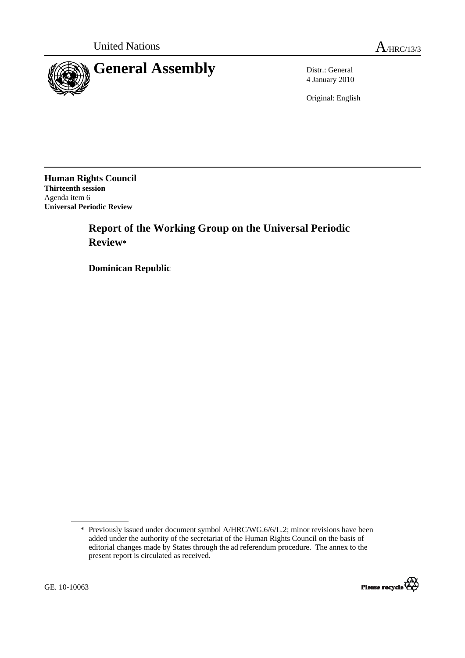

4 January 2010

Original: English

**Human Rights Council Thirteenth session**  Agenda item 6 **Universal Periodic Review** 

# **Report of the Working Group on the Universal Periodic Review\***

 **Dominican Republic** 

<sup>\*</sup> Previously issued under document symbol A/HRC/WG.6/6/L.2; minor revisions have been added under the authority of the secretariat of the Human Rights Council on the basis of editorial changes made by States through the ad referendum procedure. The annex to the present report is circulated as received.

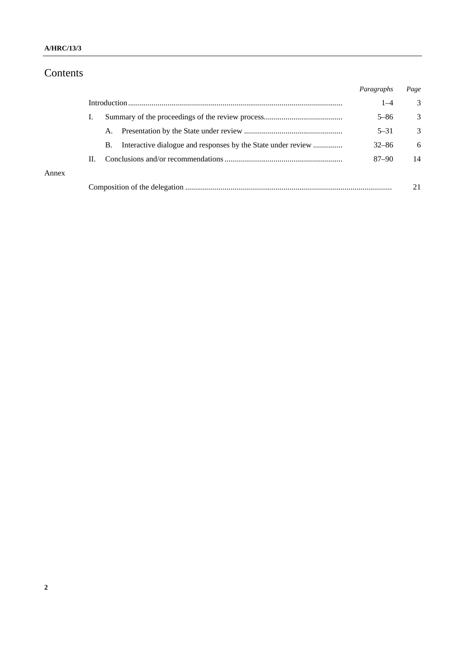# Contents

|       |    |           | Paragraphs | Page |
|-------|----|-----------|------------|------|
|       |    |           |            | 3    |
|       |    |           | $5 - 86$   | 3    |
|       |    | A.        | $5 - 31$   | 3    |
|       |    | <b>B.</b> | $32 - 86$  | 6    |
|       | H. |           | $87 - 90$  | 14   |
| Annex |    |           |            |      |
|       |    |           |            | 21   |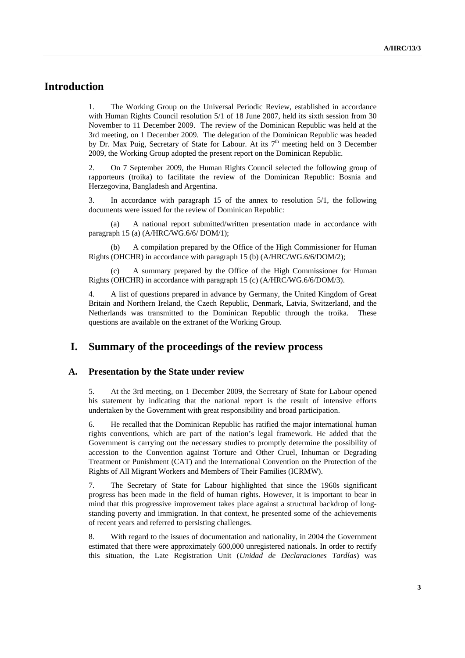# **Introduction**

1. The Working Group on the Universal Periodic Review, established in accordance with Human Rights Council resolution 5/1 of 18 June 2007, held its sixth session from 30 November to 11 December 2009. The review of the Dominican Republic was held at the 3rd meeting, on 1 December 2009. The delegation of the Dominican Republic was headed by Dr. Max Puig, Secretary of State for Labour. At its  $7<sup>th</sup>$  meeting held on 3 December 2009, the Working Group adopted the present report on the Dominican Republic.

2. On 7 September 2009, the Human Rights Council selected the following group of rapporteurs (troika) to facilitate the review of the Dominican Republic: Bosnia and Herzegovina, Bangladesh and Argentina.

3. In accordance with paragraph 15 of the annex to resolution 5/1, the following documents were issued for the review of Dominican Republic:

 (a) A national report submitted/written presentation made in accordance with paragraph 15 (a) (A/HRC/WG.6/6/ DOM/1);

A compilation prepared by the Office of the High Commissioner for Human Rights (OHCHR) in accordance with paragraph 15 (b) (A/HRC/WG.6/6/DOM/2);

 (c) A summary prepared by the Office of the High Commissioner for Human Rights (OHCHR) in accordance with paragraph 15 (c) (A/HRC/WG.6/6/DOM/3).

4. A list of questions prepared in advance by Germany, the United Kingdom of Great Britain and Northern Ireland, the Czech Republic, Denmark, Latvia, Switzerland, and the Netherlands was transmitted to the Dominican Republic through the troika. These questions are available on the extranet of the Working Group.

### **I. Summary of the proceedings of the review process**

#### **A. Presentation by the State under review**

5. At the 3rd meeting, on 1 December 2009, the Secretary of State for Labour opened his statement by indicating that the national report is the result of intensive efforts undertaken by the Government with great responsibility and broad participation.

6. He recalled that the Dominican Republic has ratified the major international human rights conventions, which are part of the nation's legal framework. He added that the Government is carrying out the necessary studies to promptly determine the possibility of accession to the Convention against Torture and Other Cruel, Inhuman or Degrading Treatment or Punishment (CAT) and the International Convention on the Protection of the Rights of All Migrant Workers and Members of Their Families (ICRMW).

7. The Secretary of State for Labour highlighted that since the 1960s significant progress has been made in the field of human rights. However, it is important to bear in mind that this progressive improvement takes place against a structural backdrop of longstanding poverty and immigration. In that context, he presented some of the achievements of recent years and referred to persisting challenges.

8. With regard to the issues of documentation and nationality, in 2004 the Government estimated that there were approximately 600,000 unregistered nationals. In order to rectify this situation, the Late Registration Unit (*Unidad de Declaraciones Tardías*) was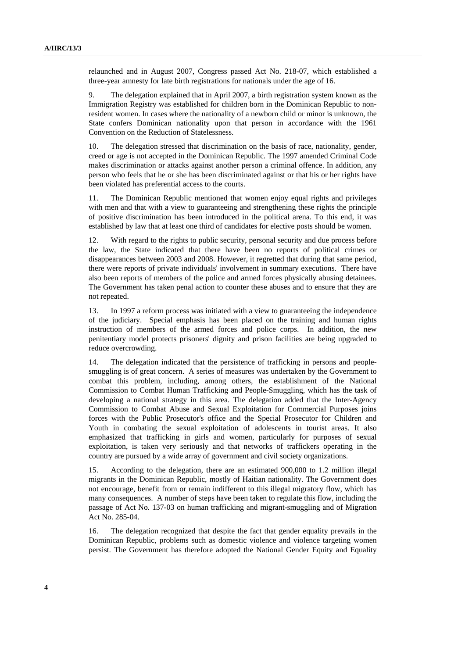relaunched and in August 2007, Congress passed Act No. 218-07, which established a three-year amnesty for late birth registrations for nationals under the age of 16.

9. The delegation explained that in April 2007, a birth registration system known as the Immigration Registry was established for children born in the Dominican Republic to nonresident women. In cases where the nationality of a newborn child or minor is unknown, the State confers Dominican nationality upon that person in accordance with the 1961 Convention on the Reduction of Statelessness.

10. The delegation stressed that discrimination on the basis of race, nationality, gender, creed or age is not accepted in the Dominican Republic. The 1997 amended Criminal Code makes discrimination or attacks against another person a criminal offence. In addition, any person who feels that he or she has been discriminated against or that his or her rights have been violated has preferential access to the courts.

11. The Dominican Republic mentioned that women enjoy equal rights and privileges with men and that with a view to guaranteeing and strengthening these rights the principle of positive discrimination has been introduced in the political arena. To this end, it was established by law that at least one third of candidates for elective posts should be women.

12. With regard to the rights to public security, personal security and due process before the law, the State indicated that there have been no reports of political crimes or disappearances between 2003 and 2008. However, it regretted that during that same period, there were reports of private individuals' involvement in summary executions. There have also been reports of members of the police and armed forces physically abusing detainees. The Government has taken penal action to counter these abuses and to ensure that they are not repeated.

13. In 1997 a reform process was initiated with a view to guaranteeing the independence of the judiciary. Special emphasis has been placed on the training and human rights instruction of members of the armed forces and police corps. In addition, the new penitentiary model protects prisoners' dignity and prison facilities are being upgraded to reduce overcrowding.

14. The delegation indicated that the persistence of trafficking in persons and peoplesmuggling is of great concern. A series of measures was undertaken by the Government to combat this problem, including, among others, the establishment of the National Commission to Combat Human Trafficking and People-Smuggling, which has the task of developing a national strategy in this area. The delegation added that the Inter-Agency Commission to Combat Abuse and Sexual Exploitation for Commercial Purposes joins forces with the Public Prosecutor's office and the Special Prosecutor for Children and Youth in combating the sexual exploitation of adolescents in tourist areas. It also emphasized that trafficking in girls and women, particularly for purposes of sexual exploitation, is taken very seriously and that networks of traffickers operating in the country are pursued by a wide array of government and civil society organizations.

15. According to the delegation, there are an estimated 900,000 to 1.2 million illegal migrants in the Dominican Republic, mostly of Haitian nationality. The Government does not encourage, benefit from or remain indifferent to this illegal migratory flow, which has many consequences. A number of steps have been taken to regulate this flow, including the passage of Act No. 137-03 on human trafficking and migrant-smuggling and of Migration Act No. 285-04.

16. The delegation recognized that despite the fact that gender equality prevails in the Dominican Republic, problems such as domestic violence and violence targeting women persist. The Government has therefore adopted the National Gender Equity and Equality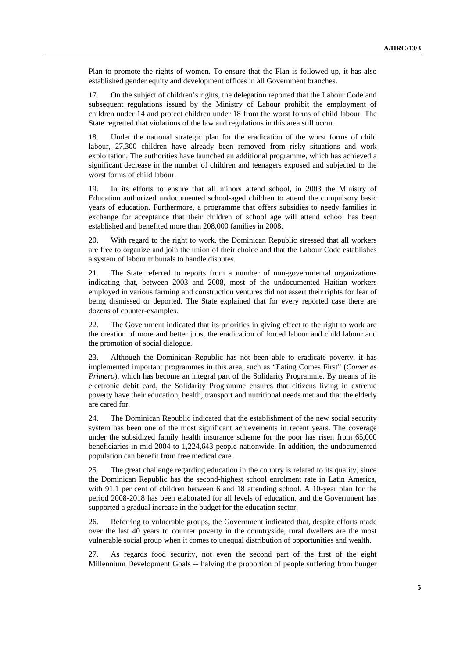Plan to promote the rights of women. To ensure that the Plan is followed up, it has also established gender equity and development offices in all Government branches.

17. On the subject of children's rights, the delegation reported that the Labour Code and subsequent regulations issued by the Ministry of Labour prohibit the employment of children under 14 and protect children under 18 from the worst forms of child labour. The State regretted that violations of the law and regulations in this area still occur.

18. Under the national strategic plan for the eradication of the worst forms of child labour, 27,300 children have already been removed from risky situations and work exploitation. The authorities have launched an additional programme, which has achieved a significant decrease in the number of children and teenagers exposed and subjected to the worst forms of child labour.

19. In its efforts to ensure that all minors attend school, in 2003 the Ministry of Education authorized undocumented school-aged children to attend the compulsory basic years of education. Furthermore, a programme that offers subsidies to needy families in exchange for acceptance that their children of school age will attend school has been established and benefited more than 208,000 families in 2008.

20. With regard to the right to work, the Dominican Republic stressed that all workers are free to organize and join the union of their choice and that the Labour Code establishes a system of labour tribunals to handle disputes.

21. The State referred to reports from a number of non-governmental organizations indicating that, between 2003 and 2008, most of the undocumented Haitian workers employed in various farming and construction ventures did not assert their rights for fear of being dismissed or deported. The State explained that for every reported case there are dozens of counter-examples.

22. The Government indicated that its priorities in giving effect to the right to work are the creation of more and better jobs, the eradication of forced labour and child labour and the promotion of social dialogue.

23. Although the Dominican Republic has not been able to eradicate poverty, it has implemented important programmes in this area, such as "Eating Comes First" (*Comer es Primero*), which has become an integral part of the Solidarity Programme. By means of its electronic debit card, the Solidarity Programme ensures that citizens living in extreme poverty have their education, health, transport and nutritional needs met and that the elderly are cared for.

24. The Dominican Republic indicated that the establishment of the new social security system has been one of the most significant achievements in recent years. The coverage under the subsidized family health insurance scheme for the poor has risen from 65,000 beneficiaries in mid-2004 to 1,224,643 people nationwide. In addition, the undocumented population can benefit from free medical care.

25. The great challenge regarding education in the country is related to its quality, since the Dominican Republic has the second-highest school enrolment rate in Latin America, with 91.1 per cent of children between 6 and 18 attending school. A 10-year plan for the period 2008-2018 has been elaborated for all levels of education, and the Government has supported a gradual increase in the budget for the education sector.

26. Referring to vulnerable groups, the Government indicated that, despite efforts made over the last 40 years to counter poverty in the countryside, rural dwellers are the most vulnerable social group when it comes to unequal distribution of opportunities and wealth.

27. As regards food security, not even the second part of the first of the eight Millennium Development Goals -- halving the proportion of people suffering from hunger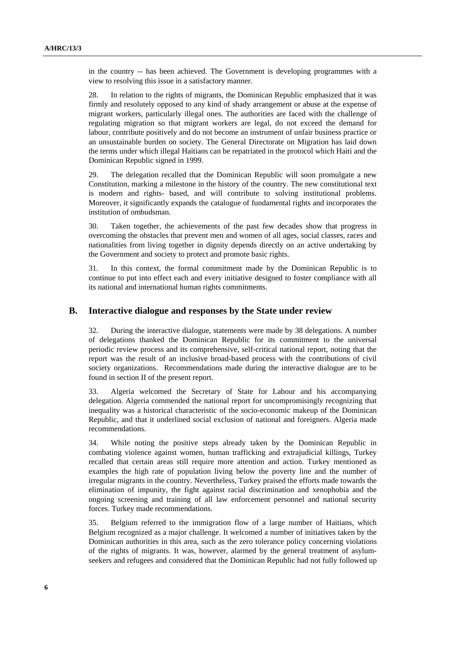in the country -- has been achieved. The Government is developing programmes with a view to resolving this issue in a satisfactory manner.

28. In relation to the rights of migrants, the Dominican Republic emphasized that it was firmly and resolutely opposed to any kind of shady arrangement or abuse at the expense of migrant workers, particularly illegal ones. The authorities are faced with the challenge of regulating migration so that migrant workers are legal, do not exceed the demand for labour, contribute positively and do not become an instrument of unfair business practice or an unsustainable burden on society. The General Directorate on Migration has laid down the terms under which illegal Haitians can be repatriated in the protocol which Haiti and the Dominican Republic signed in 1999.

29. The delegation recalled that the Dominican Republic will soon promulgate a new Constitution, marking a milestone in the history of the country. The new constitutional text is modern and rights- based, and will contribute to solving institutional problems. Moreover, it significantly expands the catalogue of fundamental rights and incorporates the institution of ombudsman.

30. Taken together, the achievements of the past few decades show that progress in overcoming the obstacles that prevent men and women of all ages, social classes, races and nationalities from living together in dignity depends directly on an active undertaking by the Government and society to protect and promote basic rights.

31. In this context, the formal commitment made by the Dominican Republic is to continue to put into effect each and every initiative designed to foster compliance with all its national and international human rights commitments.

#### **B. Interactive dialogue and responses by the State under review**

32. During the interactive dialogue, statements were made by 38 delegations. A number of delegations thanked the Dominican Republic for its commitment to the universal periodic review process and its comprehensive, self-critical national report, noting that the report was the result of an inclusive broad-based process with the contributions of civil society organizations. Recommendations made during the interactive dialogue are to be found in section II of the present report.

33. Algeria welcomed the Secretary of State for Labour and his accompanying delegation. Algeria commended the national report for uncompromisingly recognizing that inequality was a historical characteristic of the socio-economic makeup of the Dominican Republic, and that it underlined social exclusion of national and foreigners. Algeria made recommendations.

34. While noting the positive steps already taken by the Dominican Republic in combating violence against women, human trafficking and extrajudicial killings, Turkey recalled that certain areas still require more attention and action. Turkey mentioned as examples the high rate of population living below the poverty line and the number of irregular migrants in the country. Nevertheless, Turkey praised the efforts made towards the elimination of impunity, the fight against racial discrimination and xenophobia and the ongoing screening and training of all law enforcement personnel and national security forces. Turkey made recommendations.

35. Belgium referred to the immigration flow of a large number of Haitians, which Belgium recognized as a major challenge. It welcomed a number of initiatives taken by the Dominican authorities in this area, such as the zero tolerance policy concerning violations of the rights of migrants. It was, however, alarmed by the general treatment of asylumseekers and refugees and considered that the Dominican Republic had not fully followed up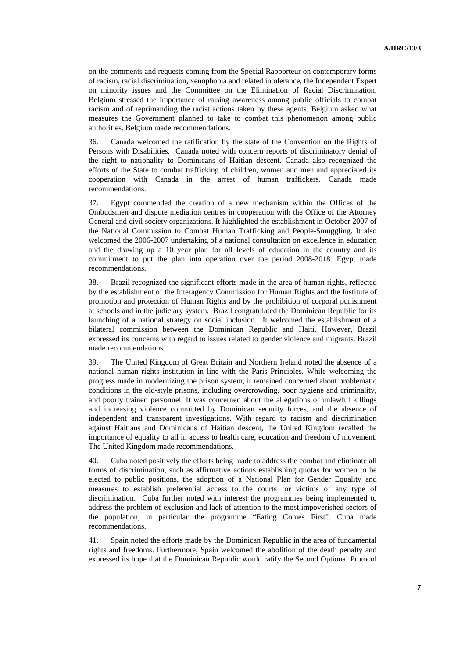on the comments and requests coming from the Special Rapporteur on contemporary forms of racism, racial discrimination, xenophobia and related intolerance, the Independent Expert on minority issues and the Committee on the Elimination of Racial Discrimination. Belgium stressed the importance of raising awareness among public officials to combat racism and of reprimanding the racist actions taken by these agents. Belgium asked what measures the Government planned to take to combat this phenomenon among public authorities. Belgium made recommendations.

36. Canada welcomed the ratification by the state of the Convention on the Rights of Persons with Disabilities. Canada noted with concern reports of discriminatory denial of the right to nationality to Dominicans of Haitian descent. Canada also recognized the efforts of the State to combat trafficking of children, women and men and appreciated its cooperation with Canada in the arrest of human traffickers. Canada made recommendations.

37. Egypt commended the creation of a new mechanism within the Offices of the Ombudsmen and dispute mediation centres in cooperation with the Office of the Attorney General and civil society organizations. It highlighted the establishment in October 2007 of the National Commission to Combat Human Trafficking and People-Smuggling. It also welcomed the 2006-2007 undertaking of a national consultation on excellence in education and the drawing up a 10 year plan for all levels of education in the country and its commitment to put the plan into operation over the period 2008-2018. Egypt made recommendations.

38. Brazil recognized the significant efforts made in the area of human rights, reflected by the establishment of the Interagency Commission for Human Rights and the Institute of promotion and protection of Human Rights and by the prohibition of corporal punishment at schools and in the judiciary system. Brazil congratulated the Dominican Republic for its launching of a national strategy on social inclusion. It welcomed the establishment of a bilateral commission between the Dominican Republic and Haiti. However, Brazil expressed its concerns with regard to issues related to gender violence and migrants. Brazil made recommendations.

39. The United Kingdom of Great Britain and Northern Ireland noted the absence of a national human rights institution in line with the Paris Principles. While welcoming the progress made in modernizing the prison system, it remained concerned about problematic conditions in the old-style prisons, including overcrowding, poor hygiene and criminality, and poorly trained personnel. It was concerned about the allegations of unlawful killings and increasing violence committed by Dominican security forces, and the absence of independent and transparent investigations. With regard to racism and discrimination against Haitians and Dominicans of Haitian descent, the United Kingdom recalled the importance of equality to all in access to health care, education and freedom of movement. The United Kingdom made recommendations.

40. Cuba noted positively the efforts being made to address the combat and eliminate all forms of discrimination, such as affirmative actions establishing quotas for women to be elected to public positions, the adoption of a National Plan for Gender Equality and measures to establish preferential access to the courts for victims of any type of discrimination. Cuba further noted with interest the programmes being implemented to address the problem of exclusion and lack of attention to the most impoverished sectors of the population, in particular the programme "Eating Comes First". Cuba made recommendations.

41. Spain noted the efforts made by the Dominican Republic in the area of fundamental rights and freedoms. Furthermore, Spain welcomed the abolition of the death penalty and expressed its hope that the Dominican Republic would ratify the Second Optional Protocol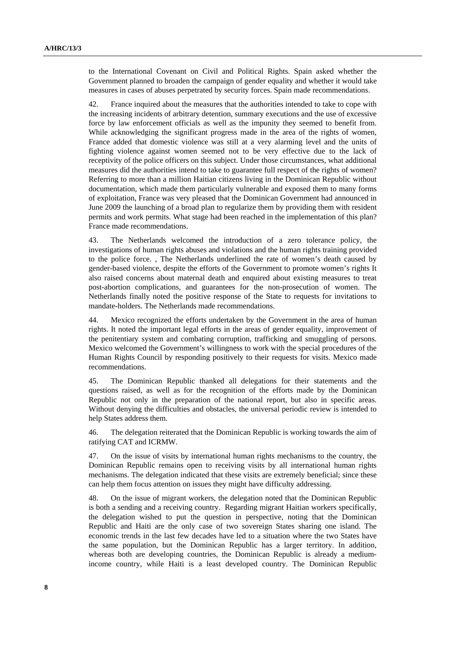to the International Covenant on Civil and Political Rights. Spain asked whether the Government planned to broaden the campaign of gender equality and whether it would take measures in cases of abuses perpetrated by security forces. Spain made recommendations.

42. France inquired about the measures that the authorities intended to take to cope with the increasing incidents of arbitrary detention, summary executions and the use of excessive force by law enforcement officials as well as the impunity they seemed to benefit from. While acknowledging the significant progress made in the area of the rights of women, France added that domestic violence was still at a very alarming level and the units of fighting violence against women seemed not to be very effective due to the lack of receptivity of the police officers on this subject. Under those circumstances, what additional measures did the authorities intend to take to guarantee full respect of the rights of women? Referring to more than a million Haitian citizens living in the Dominican Republic without documentation, which made them particularly vulnerable and exposed them to many forms of exploitation, France was very pleased that the Dominican Government had announced in June 2009 the launching of a broad plan to regularize them by providing them with resident permits and work permits. What stage had been reached in the implementation of this plan? France made recommendations.

43. The Netherlands welcomed the introduction of a zero tolerance policy, the investigations of human rights abuses and violations and the human rights training provided to the police force. , The Netherlands underlined the rate of women's death caused by gender-based violence, despite the efforts of the Government to promote women's rights It also raised concerns about maternal death and enquired about existing measures to treat post-abortion complications, and guarantees for the non-prosecution of women. The Netherlands finally noted the positive response of the State to requests for invitations to mandate-holders. The Netherlands made recommendations.

44. Mexico recognized the efforts undertaken by the Government in the area of human rights. It noted the important legal efforts in the areas of gender equality, improvement of the penitentiary system and combating corruption, trafficking and smuggling of persons. Mexico welcomed the Government's willingness to work with the special procedures of the Human Rights Council by responding positively to their requests for visits. Mexico made recommendations.

45. The Dominican Republic thanked all delegations for their statements and the questions raised, as well as for the recognition of the efforts made by the Dominican Republic not only in the preparation of the national report, but also in specific areas. Without denying the difficulties and obstacles, the universal periodic review is intended to help States address them.

46. The delegation reiterated that the Dominican Republic is working towards the aim of ratifying CAT and ICRMW.

47. On the issue of visits by international human rights mechanisms to the country, the Dominican Republic remains open to receiving visits by all international human rights mechanisms. The delegation indicated that these visits are extremely beneficial; since these can help them focus attention on issues they might have difficulty addressing.

48. On the issue of migrant workers, the delegation noted that the Dominican Republic is both a sending and a receiving country. Regarding migrant Haitian workers specifically, the delegation wished to put the question in perspective, noting that the Dominican Republic and Haiti are the only case of two sovereign States sharing one island. The economic trends in the last few decades have led to a situation where the two States have the same population, but the Dominican Republic has a larger territory. In addition, whereas both are developing countries, the Dominican Republic is already a mediumincome country, while Haiti is a least developed country. The Dominican Republic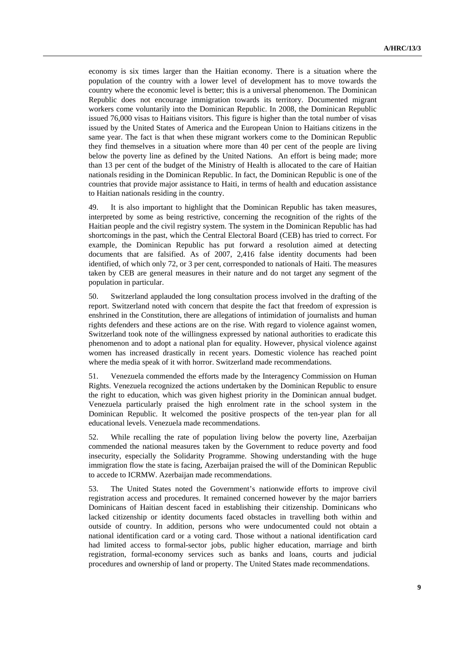economy is six times larger than the Haitian economy. There is a situation where the population of the country with a lower level of development has to move towards the country where the economic level is better; this is a universal phenomenon. The Dominican Republic does not encourage immigration towards its territory. Documented migrant workers come voluntarily into the Dominican Republic. In 2008, the Dominican Republic issued 76,000 visas to Haitians visitors. This figure is higher than the total number of visas issued by the United States of America and the European Union to Haitians citizens in the same year. The fact is that when these migrant workers come to the Dominican Republic they find themselves in a situation where more than 40 per cent of the people are living below the poverty line as defined by the United Nations. An effort is being made; more than 13 per cent of the budget of the Ministry of Health is allocated to the care of Haitian nationals residing in the Dominican Republic. In fact, the Dominican Republic is one of the countries that provide major assistance to Haiti, in terms of health and education assistance to Haitian nationals residing in the country.

49. It is also important to highlight that the Dominican Republic has taken measures, interpreted by some as being restrictive, concerning the recognition of the rights of the Haitian people and the civil registry system. The system in the Dominican Republic has had shortcomings in the past, which the Central Electoral Board (CEB) has tried to correct. For example, the Dominican Republic has put forward a resolution aimed at detecting documents that are falsified. As of 2007, 2,416 false identity documents had been identified, of which only 72, or 3 per cent, corresponded to nationals of Haiti. The measures taken by CEB are general measures in their nature and do not target any segment of the population in particular.

50. Switzerland applauded the long consultation process involved in the drafting of the report. Switzerland noted with concern that despite the fact that freedom of expression is enshrined in the Constitution, there are allegations of intimidation of journalists and human rights defenders and these actions are on the rise. With regard to violence against women, Switzerland took note of the willingness expressed by national authorities to eradicate this phenomenon and to adopt a national plan for equality. However, physical violence against women has increased drastically in recent years. Domestic violence has reached point where the media speak of it with horror. Switzerland made recommendations.

51. Venezuela commended the efforts made by the Interagency Commission on Human Rights. Venezuela recognized the actions undertaken by the Dominican Republic to ensure the right to education, which was given highest priority in the Dominican annual budget. Venezuela particularly praised the high enrolment rate in the school system in the Dominican Republic. It welcomed the positive prospects of the ten-year plan for all educational levels. Venezuela made recommendations.

52. While recalling the rate of population living below the poverty line, Azerbaijan commended the national measures taken by the Government to reduce poverty and food insecurity, especially the Solidarity Programme. Showing understanding with the huge immigration flow the state is facing, Azerbaijan praised the will of the Dominican Republic to accede to ICRMW. Azerbaijan made recommendations.

53. The United States noted the Government's nationwide efforts to improve civil registration access and procedures. It remained concerned however by the major barriers Dominicans of Haitian descent faced in establishing their citizenship. Dominicans who lacked citizenship or identity documents faced obstacles in travelling both within and outside of country. In addition, persons who were undocumented could not obtain a national identification card or a voting card. Those without a national identification card had limited access to formal-sector jobs, public higher education, marriage and birth registration, formal-economy services such as banks and loans, courts and judicial procedures and ownership of land or property. The United States made recommendations.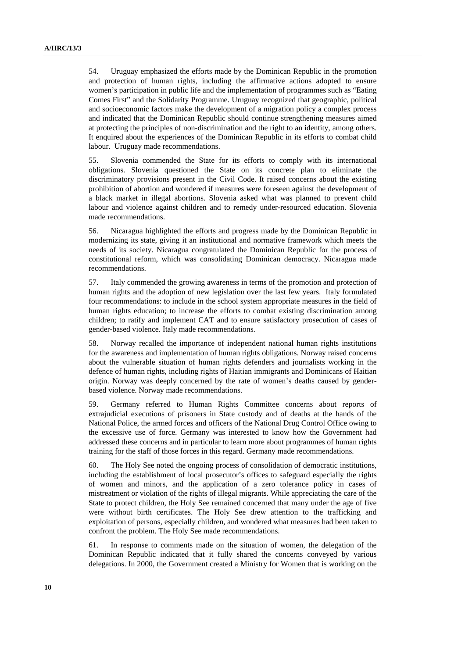54. Uruguay emphasized the efforts made by the Dominican Republic in the promotion and protection of human rights, including the affirmative actions adopted to ensure women's participation in public life and the implementation of programmes such as "Eating Comes First" and the Solidarity Programme. Uruguay recognized that geographic, political and socioeconomic factors make the development of a migration policy a complex process and indicated that the Dominican Republic should continue strengthening measures aimed at protecting the principles of non-discrimination and the right to an identity, among others. It enquired about the experiences of the Dominican Republic in its efforts to combat child labour. Uruguay made recommendations.

55. Slovenia commended the State for its efforts to comply with its international obligations. Slovenia questioned the State on its concrete plan to eliminate the discriminatory provisions present in the Civil Code. It raised concerns about the existing prohibition of abortion and wondered if measures were foreseen against the development of a black market in illegal abortions. Slovenia asked what was planned to prevent child labour and violence against children and to remedy under-resourced education. Slovenia made recommendations.

56. Nicaragua highlighted the efforts and progress made by the Dominican Republic in modernizing its state, giving it an institutional and normative framework which meets the needs of its society. Nicaragua congratulated the Dominican Republic for the process of constitutional reform, which was consolidating Dominican democracy. Nicaragua made recommendations.

57. Italy commended the growing awareness in terms of the promotion and protection of human rights and the adoption of new legislation over the last few years. Italy formulated four recommendations: to include in the school system appropriate measures in the field of human rights education; to increase the efforts to combat existing discrimination among children; to ratify and implement CAT and to ensure satisfactory prosecution of cases of gender-based violence. Italy made recommendations.

58. Norway recalled the importance of independent national human rights institutions for the awareness and implementation of human rights obligations. Norway raised concerns about the vulnerable situation of human rights defenders and journalists working in the defence of human rights, including rights of Haitian immigrants and Dominicans of Haitian origin. Norway was deeply concerned by the rate of women's deaths caused by genderbased violence. Norway made recommendations.

59. Germany referred to Human Rights Committee concerns about reports of extrajudicial executions of prisoners in State custody and of deaths at the hands of the National Police, the armed forces and officers of the National Drug Control Office owing to the excessive use of force. Germany was interested to know how the Government had addressed these concerns and in particular to learn more about programmes of human rights training for the staff of those forces in this regard. Germany made recommendations.

60. The Holy See noted the ongoing process of consolidation of democratic institutions, including the establishment of local prosecutor's offices to safeguard especially the rights of women and minors, and the application of a zero tolerance policy in cases of mistreatment or violation of the rights of illegal migrants. While appreciating the care of the State to protect children, the Holy See remained concerned that many under the age of five were without birth certificates. The Holy See drew attention to the trafficking and exploitation of persons, especially children, and wondered what measures had been taken to confront the problem. The Holy See made recommendations.

61. In response to comments made on the situation of women, the delegation of the Dominican Republic indicated that it fully shared the concerns conveyed by various delegations. In 2000, the Government created a Ministry for Women that is working on the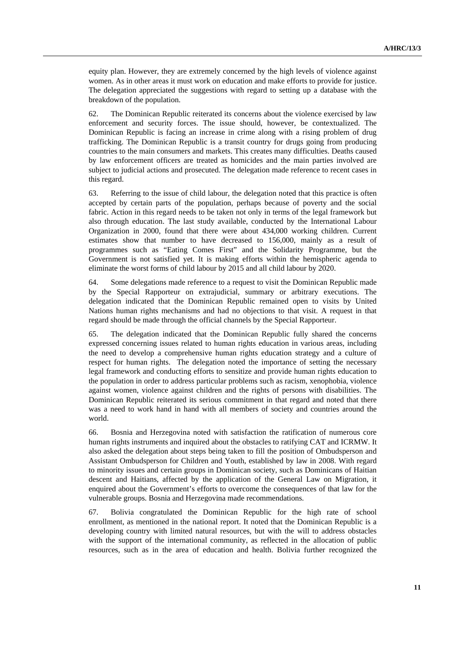equity plan. However, they are extremely concerned by the high levels of violence against women. As in other areas it must work on education and make efforts to provide for justice. The delegation appreciated the suggestions with regard to setting up a database with the breakdown of the population.

62. The Dominican Republic reiterated its concerns about the violence exercised by law enforcement and security forces. The issue should, however, be contextualized. The Dominican Republic is facing an increase in crime along with a rising problem of drug trafficking. The Dominican Republic is a transit country for drugs going from producing countries to the main consumers and markets. This creates many difficulties. Deaths caused by law enforcement officers are treated as homicides and the main parties involved are subject to judicial actions and prosecuted. The delegation made reference to recent cases in this regard.

63. Referring to the issue of child labour, the delegation noted that this practice is often accepted by certain parts of the population, perhaps because of poverty and the social fabric. Action in this regard needs to be taken not only in terms of the legal framework but also through education. The last study available, conducted by the International Labour Organization in 2000, found that there were about 434,000 working children. Current estimates show that number to have decreased to 156,000, mainly as a result of programmes such as "Eating Comes First" and the Solidarity Programme, but the Government is not satisfied yet. It is making efforts within the hemispheric agenda to eliminate the worst forms of child labour by 2015 and all child labour by 2020.

64. Some delegations made reference to a request to visit the Dominican Republic made by the Special Rapporteur on extrajudicial, summary or arbitrary executions. The delegation indicated that the Dominican Republic remained open to visits by United Nations human rights mechanisms and had no objections to that visit. A request in that regard should be made through the official channels by the Special Rapporteur.

65. The delegation indicated that the Dominican Republic fully shared the concerns expressed concerning issues related to human rights education in various areas, including the need to develop a comprehensive human rights education strategy and a culture of respect for human rights. The delegation noted the importance of setting the necessary legal framework and conducting efforts to sensitize and provide human rights education to the population in order to address particular problems such as racism, xenophobia, violence against women, violence against children and the rights of persons with disabilities. The Dominican Republic reiterated its serious commitment in that regard and noted that there was a need to work hand in hand with all members of society and countries around the world.

66. Bosnia and Herzegovina noted with satisfaction the ratification of numerous core human rights instruments and inquired about the obstacles to ratifying CAT and ICRMW. It also asked the delegation about steps being taken to fill the position of Ombudsperson and Assistant Ombudsperson for Children and Youth, established by law in 2008. With regard to minority issues and certain groups in Dominican society, such as Dominicans of Haitian descent and Haitians, affected by the application of the General Law on Migration, it enquired about the Government's efforts to overcome the consequences of that law for the vulnerable groups. Bosnia and Herzegovina made recommendations.

67. Bolivia congratulated the Dominican Republic for the high rate of school enrollment, as mentioned in the national report. It noted that the Dominican Republic is a developing country with limited natural resources, but with the will to address obstacles with the support of the international community, as reflected in the allocation of public resources, such as in the area of education and health. Bolivia further recognized the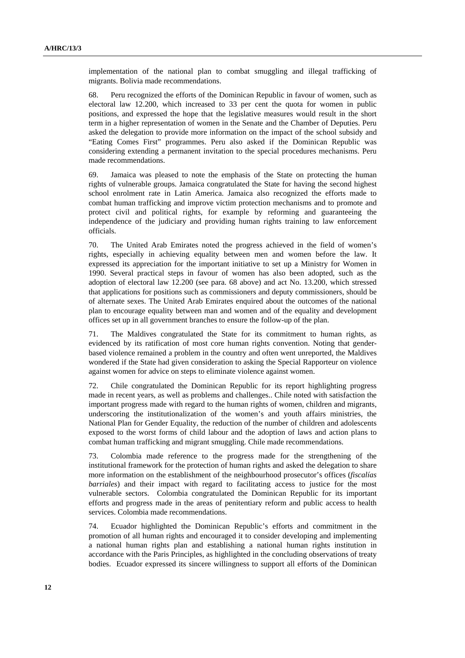implementation of the national plan to combat smuggling and illegal trafficking of migrants. Bolivia made recommendations.

68. Peru recognized the efforts of the Dominican Republic in favour of women, such as electoral law 12.200, which increased to 33 per cent the quota for women in public positions, and expressed the hope that the legislative measures would result in the short term in a higher representation of women in the Senate and the Chamber of Deputies. Peru asked the delegation to provide more information on the impact of the school subsidy and "Eating Comes First" programmes. Peru also asked if the Dominican Republic was considering extending a permanent invitation to the special procedures mechanisms. Peru made recommendations.

69. Jamaica was pleased to note the emphasis of the State on protecting the human rights of vulnerable groups. Jamaica congratulated the State for having the second highest school enrolment rate in Latin America. Jamaica also recognized the efforts made to combat human trafficking and improve victim protection mechanisms and to promote and protect civil and political rights, for example by reforming and guaranteeing the independence of the judiciary and providing human rights training to law enforcement officials.

70. The United Arab Emirates noted the progress achieved in the field of women's rights, especially in achieving equality between men and women before the law. It expressed its appreciation for the important initiative to set up a Ministry for Women in 1990. Several practical steps in favour of women has also been adopted, such as the adoption of electoral law 12.200 (see para. 68 above) and act No. 13.200, which stressed that applications for positions such as commissioners and deputy commissioners, should be of alternate sexes. The United Arab Emirates enquired about the outcomes of the national plan to encourage equality between man and women and of the equality and development offices set up in all government branches to ensure the follow-up of the plan.

71. The Maldives congratulated the State for its commitment to human rights, as evidenced by its ratification of most core human rights convention. Noting that genderbased violence remained a problem in the country and often went unreported, the Maldives wondered if the State had given consideration to asking the Special Rapporteur on violence against women for advice on steps to eliminate violence against women.

72. Chile congratulated the Dominican Republic for its report highlighting progress made in recent years, as well as problems and challenges.. Chile noted with satisfaction the important progress made with regard to the human rights of women, children and migrants, underscoring the institutionalization of the women's and youth affairs ministries, the National Plan for Gender Equality, the reduction of the number of children and adolescents exposed to the worst forms of child labour and the adoption of laws and action plans to combat human trafficking and migrant smuggling. Chile made recommendations.

73. Colombia made reference to the progress made for the strengthening of the institutional framework for the protection of human rights and asked the delegation to share more information on the establishment of the neighbourhood prosecutor's offices (*fiscalías barriales*) and their impact with regard to facilitating access to justice for the most vulnerable sectors. Colombia congratulated the Dominican Republic for its important efforts and progress made in the areas of penitentiary reform and public access to health services. Colombia made recommendations.

74. Ecuador highlighted the Dominican Republic's efforts and commitment in the promotion of all human rights and encouraged it to consider developing and implementing a national human rights plan and establishing a national human rights institution in accordance with the Paris Principles, as highlighted in the concluding observations of treaty bodies. Ecuador expressed its sincere willingness to support all efforts of the Dominican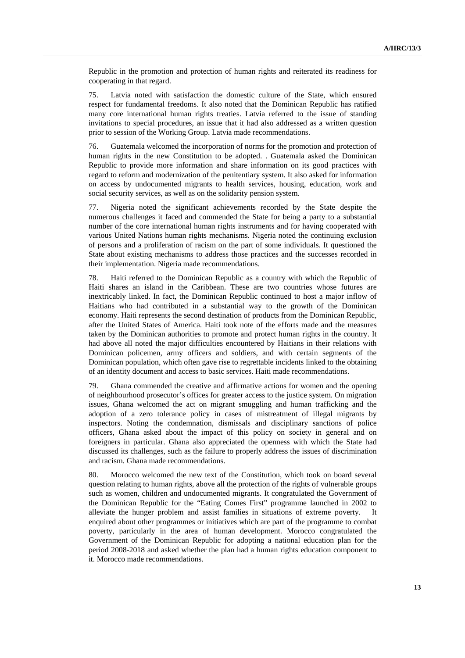Republic in the promotion and protection of human rights and reiterated its readiness for cooperating in that regard.

75. Latvia noted with satisfaction the domestic culture of the State, which ensured respect for fundamental freedoms. It also noted that the Dominican Republic has ratified many core international human rights treaties. Latvia referred to the issue of standing invitations to special procedures, an issue that it had also addressed as a written question prior to session of the Working Group. Latvia made recommendations.

76. Guatemala welcomed the incorporation of norms for the promotion and protection of human rights in the new Constitution to be adopted. . Guatemala asked the Dominican Republic to provide more information and share information on its good practices with regard to reform and modernization of the penitentiary system. It also asked for information on access by undocumented migrants to health services, housing, education, work and social security services, as well as on the solidarity pension system.

77. Nigeria noted the significant achievements recorded by the State despite the numerous challenges it faced and commended the State for being a party to a substantial number of the core international human rights instruments and for having cooperated with various United Nations human rights mechanisms. Nigeria noted the continuing exclusion of persons and a proliferation of racism on the part of some individuals. It questioned the State about existing mechanisms to address those practices and the successes recorded in their implementation. Nigeria made recommendations.

78. Haiti referred to the Dominican Republic as a country with which the Republic of Haiti shares an island in the Caribbean. These are two countries whose futures are inextricably linked. In fact, the Dominican Republic continued to host a major inflow of Haitians who had contributed in a substantial way to the growth of the Dominican economy. Haiti represents the second destination of products from the Dominican Republic, after the United States of America. Haiti took note of the efforts made and the measures taken by the Dominican authorities to promote and protect human rights in the country. It had above all noted the major difficulties encountered by Haitians in their relations with Dominican policemen, army officers and soldiers, and with certain segments of the Dominican population, which often gave rise to regrettable incidents linked to the obtaining of an identity document and access to basic services. Haiti made recommendations.

79. Ghana commended the creative and affirmative actions for women and the opening of neighbourhood prosecutor's offices for greater access to the justice system. On migration issues, Ghana welcomed the act on migrant smuggling and human trafficking and the adoption of a zero tolerance policy in cases of mistreatment of illegal migrants by inspectors. Noting the condemnation, dismissals and disciplinary sanctions of police officers, Ghana asked about the impact of this policy on society in general and on foreigners in particular. Ghana also appreciated the openness with which the State had discussed its challenges, such as the failure to properly address the issues of discrimination and racism. Ghana made recommendations.

80. Morocco welcomed the new text of the Constitution, which took on board several question relating to human rights, above all the protection of the rights of vulnerable groups such as women, children and undocumented migrants. It congratulated the Government of the Dominican Republic for the "Eating Comes First" programme launched in 2002 to alleviate the hunger problem and assist families in situations of extreme poverty. It enquired about other programmes or initiatives which are part of the programme to combat poverty, particularly in the area of human development. Morocco congratulated the Government of the Dominican Republic for adopting a national education plan for the period 2008-2018 and asked whether the plan had a human rights education component to it. Morocco made recommendations.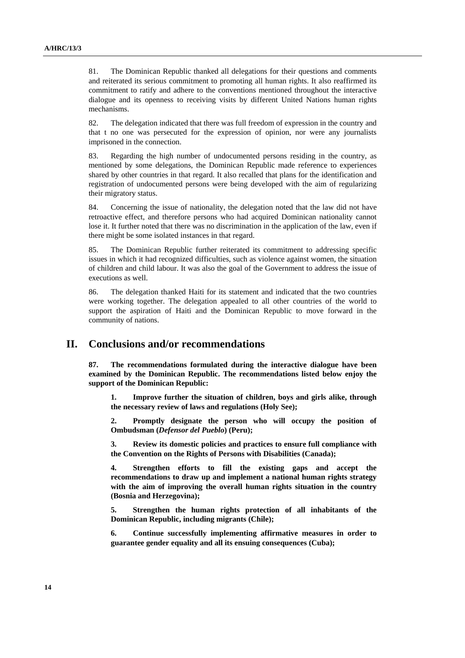81. The Dominican Republic thanked all delegations for their questions and comments and reiterated its serious commitment to promoting all human rights. It also reaffirmed its commitment to ratify and adhere to the conventions mentioned throughout the interactive dialogue and its openness to receiving visits by different United Nations human rights mechanisms.

82. The delegation indicated that there was full freedom of expression in the country and that t no one was persecuted for the expression of opinion, nor were any journalists imprisoned in the connection.

83. Regarding the high number of undocumented persons residing in the country, as mentioned by some delegations, the Dominican Republic made reference to experiences shared by other countries in that regard. It also recalled that plans for the identification and registration of undocumented persons were being developed with the aim of regularizing their migratory status.

84. Concerning the issue of nationality, the delegation noted that the law did not have retroactive effect, and therefore persons who had acquired Dominican nationality cannot lose it. It further noted that there was no discrimination in the application of the law, even if there might be some isolated instances in that regard.

85. The Dominican Republic further reiterated its commitment to addressing specific issues in which it had recognized difficulties, such as violence against women, the situation of children and child labour. It was also the goal of the Government to address the issue of executions as well.

86. The delegation thanked Haiti for its statement and indicated that the two countries were working together. The delegation appealed to all other countries of the world to support the aspiration of Haiti and the Dominican Republic to move forward in the community of nations.

### **II. Conclusions and/or recommendations**

**87. The recommendations formulated during the interactive dialogue have been examined by the Dominican Republic. The recommendations listed below enjoy the support of the Dominican Republic:** 

**1. Improve further the situation of children, boys and girls alike, through the necessary review of laws and regulations (Holy See);** 

**2. Promptly designate the person who will occupy the position of Ombudsman (***Defensor del Pueblo***) (Peru);** 

**3. Review its domestic policies and practices to ensure full compliance with the Convention on the Rights of Persons with Disabilities (Canada);** 

**4. Strengthen efforts to fill the existing gaps and accept the recommendations to draw up and implement a national human rights strategy with the aim of improving the overall human rights situation in the country (Bosnia and Herzegovina);** 

**5. Strengthen the human rights protection of all inhabitants of the Dominican Republic, including migrants (Chile);** 

**6. Continue successfully implementing affirmative measures in order to guarantee gender equality and all its ensuing consequences (Cuba);**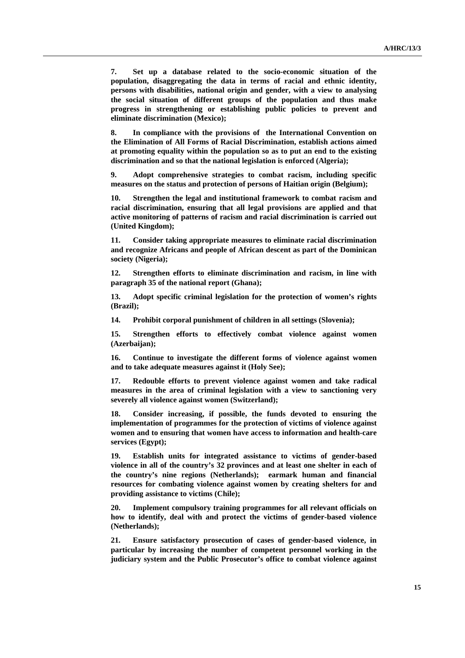**7. Set up a database related to the socio-economic situation of the population, disaggregating the data in terms of racial and ethnic identity, persons with disabilities, national origin and gender, with a view to analysing the social situation of different groups of the population and thus make progress in strengthening or establishing public policies to prevent and eliminate discrimination (Mexico);** 

**8. In compliance with the provisions of the International Convention on the Elimination of All Forms of Racial Discrimination, establish actions aimed at promoting equality within the population so as to put an end to the existing discrimination and so that the national legislation is enforced (Algeria);** 

**9. Adopt comprehensive strategies to combat racism, including specific measures on the status and protection of persons of Haitian origin (Belgium);** 

**10. Strengthen the legal and institutional framework to combat racism and racial discrimination, ensuring that all legal provisions are applied and that active monitoring of patterns of racism and racial discrimination is carried out (United Kingdom);** 

**11. Consider taking appropriate measures to eliminate racial discrimination and recognize Africans and people of African descent as part of the Dominican society (Nigeria);** 

**12. Strengthen efforts to eliminate discrimination and racism, in line with paragraph 35 of the national report (Ghana);** 

**13. Adopt specific criminal legislation for the protection of women's rights (Brazil);** 

**14. Prohibit corporal punishment of children in all settings (Slovenia);** 

**15. Strengthen efforts to effectively combat violence against women (Azerbaijan);** 

**16. Continue to investigate the different forms of violence against women and to take adequate measures against it (Holy See);** 

**17. Redouble efforts to prevent violence against women and take radical measures in the area of criminal legislation with a view to sanctioning very severely all violence against women (Switzerland);** 

**18. Consider increasing, if possible, the funds devoted to ensuring the implementation of programmes for the protection of victims of violence against women and to ensuring that women have access to information and health-care services (Egypt);** 

**19. Establish units for integrated assistance to victims of gender-based violence in all of the country's 32 provinces and at least one shelter in each of the country's nine regions (Netherlands); earmark human and financial resources for combating violence against women by creating shelters for and providing assistance to victims (Chile);** 

**20. Implement compulsory training programmes for all relevant officials on how to identify, deal with and protect the victims of gender-based violence (Netherlands);** 

**21. Ensure satisfactory prosecution of cases of gender-based violence, in particular by increasing the number of competent personnel working in the judiciary system and the Public Prosecutor's office to combat violence against**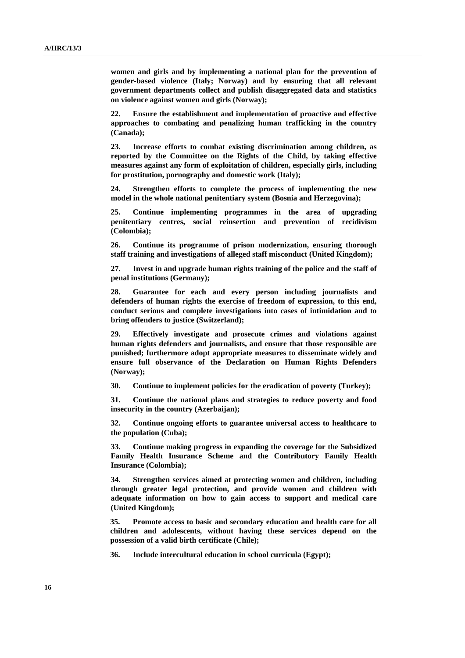**women and girls and by implementing a national plan for the prevention of gender-based violence (Italy; Norway) and by ensuring that all relevant government departments collect and publish disaggregated data and statistics on violence against women and girls (Norway);** 

**22. Ensure the establishment and implementation of proactive and effective approaches to combating and penalizing human trafficking in the country (Canada);** 

**23. Increase efforts to combat existing discrimination among children, as reported by the Committee on the Rights of the Child, by taking effective measures against any form of exploitation of children, especially girls, including for prostitution, pornography and domestic work (Italy);** 

**24. Strengthen efforts to complete the process of implementing the new model in the whole national penitentiary system (Bosnia and Herzegovina);** 

**25. Continue implementing programmes in the area of upgrading penitentiary centres, social reinsertion and prevention of recidivism (Colombia);** 

**26. Continue its programme of prison modernization, ensuring thorough staff training and investigations of alleged staff misconduct (United Kingdom);** 

**27. Invest in and upgrade human rights training of the police and the staff of penal institutions (Germany);** 

**28. Guarantee for each and every person including journalists and defenders of human rights the exercise of freedom of expression, to this end, conduct serious and complete investigations into cases of intimidation and to bring offenders to justice (Switzerland);** 

**29. Effectively investigate and prosecute crimes and violations against human rights defenders and journalists, and ensure that those responsible are punished; furthermore adopt appropriate measures to disseminate widely and ensure full observance of the Declaration on Human Rights Defenders (Norway);** 

**30. Continue to implement policies for the eradication of poverty (Turkey);** 

**31. Continue the national plans and strategies to reduce poverty and food insecurity in the country (Azerbaijan);** 

**32. Continue ongoing efforts to guarantee universal access to healthcare to the population (Cuba);** 

**33. Continue making progress in expanding the coverage for the Subsidized Family Health Insurance Scheme and the Contributory Family Health Insurance (Colombia);** 

**34. Strengthen services aimed at protecting women and children, including through greater legal protection, and provide women and children with adequate information on how to gain access to support and medical care (United Kingdom);** 

**35. Promote access to basic and secondary education and health care for all children and adolescents, without having these services depend on the possession of a valid birth certificate (Chile);** 

**36. Include intercultural education in school curricula (Egypt);**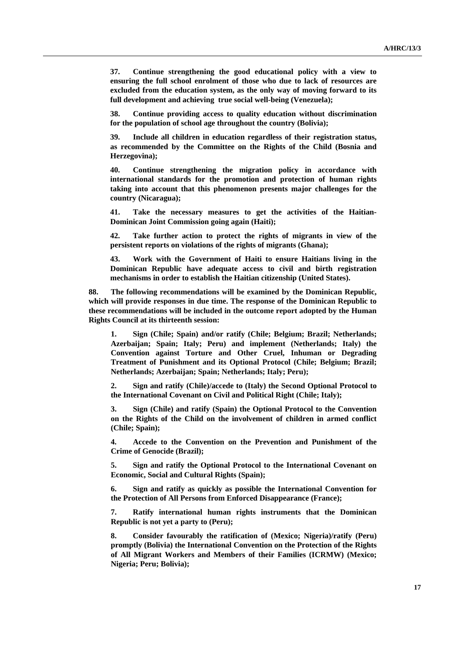**37. Continue strengthening the good educational policy with a view to ensuring the full school enrolment of those who due to lack of resources are excluded from the education system, as the only way of moving forward to its full development and achieving true social well-being (Venezuela);** 

**38. Continue providing access to quality education without discrimination for the population of school age throughout the country (Bolivia);** 

**39. Include all children in education regardless of their registration status, as recommended by the Committee on the Rights of the Child (Bosnia and Herzegovina);** 

**40. Continue strengthening the migration policy in accordance with international standards for the promotion and protection of human rights taking into account that this phenomenon presents major challenges for the country (Nicaragua);** 

**41. Take the necessary measures to get the activities of the Haitian-Dominican Joint Commission going again (Haiti);** 

**42. Take further action to protect the rights of migrants in view of the persistent reports on violations of the rights of migrants (Ghana);** 

**43. Work with the Government of Haiti to ensure Haitians living in the Dominican Republic have adequate access to civil and birth registration mechanisms in order to establish the Haitian citizenship (United States).** 

**88. The following recommendations will be examined by the Dominican Republic, which will provide responses in due time. The response of the Dominican Republic to these recommendations will be included in the outcome report adopted by the Human Rights Council at its thirteenth session:** 

**1. Sign (Chile; Spain) and/or ratify (Chile; Belgium; Brazil; Netherlands; Azerbaijan; Spain; Italy; Peru) and implement (Netherlands; Italy) the Convention against Torture and Other Cruel, Inhuman or Degrading Treatment of Punishment and its Optional Protocol (Chile; Belgium; Brazil; Netherlands; Azerbaijan; Spain; Netherlands; Italy; Peru);** 

**2. Sign and ratify (Chile)/accede to (Italy) the Second Optional Protocol to the International Covenant on Civil and Political Right (Chile; Italy);** 

**3. Sign (Chile) and ratify (Spain) the Optional Protocol to the Convention on the Rights of the Child on the involvement of children in armed conflict (Chile; Spain);** 

**4. Accede to the Convention on the Prevention and Punishment of the Crime of Genocide (Brazil);** 

**5. Sign and ratify the Optional Protocol to the International Covenant on Economic, Social and Cultural Rights (Spain);** 

**6. Sign and ratify as quickly as possible the International Convention for the Protection of All Persons from Enforced Disappearance (France);** 

**7. Ratify international human rights instruments that the Dominican Republic is not yet a party to (Peru);** 

**8. Consider favourably the ratification of (Mexico; Nigeria)/ratify (Peru) promptly (Bolivia) the International Convention on the Protection of the Rights of All Migrant Workers and Members of their Families (ICRMW) (Mexico; Nigeria; Peru; Bolivia);**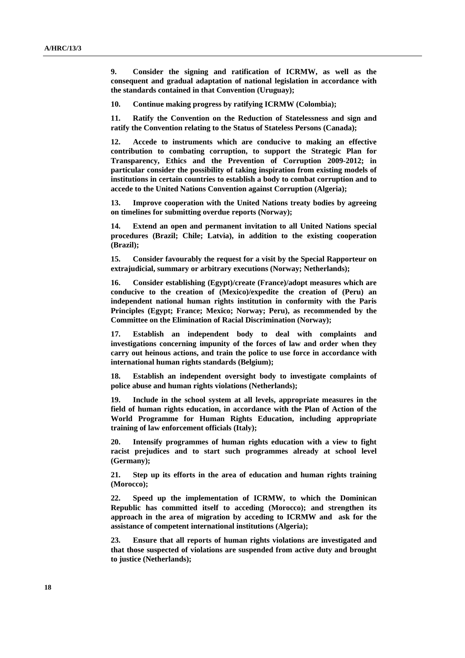**9. Consider the signing and ratification of ICRMW, as well as the consequent and gradual adaptation of national legislation in accordance with the standards contained in that Convention (Uruguay);** 

**10. Continue making progress by ratifying ICRMW (Colombia);** 

**11. Ratify the Convention on the Reduction of Statelessness and sign and ratify the Convention relating to the Status of Stateless Persons (Canada);** 

**12. Accede to instruments which are conducive to making an effective contribution to combating corruption, to support the Strategic Plan for Transparency, Ethics and the Prevention of Corruption 2009-2012; in particular consider the possibility of taking inspiration from existing models of institutions in certain countries to establish a body to combat corruption and to accede to the United Nations Convention against Corruption (Algeria);** 

**13. Improve cooperation with the United Nations treaty bodies by agreeing on timelines for submitting overdue reports (Norway);** 

**14. Extend an open and permanent invitation to all United Nations special procedures (Brazil; Chile; Latvia), in addition to the existing cooperation (Brazil);** 

**15. Consider favourably the request for a visit by the Special Rapporteur on extrajudicial, summary or arbitrary executions (Norway; Netherlands);** 

**16. Consider establishing (Egypt)/create (France)/adopt measures which are conducive to the creation of (Mexico)/expedite the creation of (Peru) an independent national human rights institution in conformity with the Paris Principles (Egypt; France; Mexico; Norway; Peru), as recommended by the Committee on the Elimination of Racial Discrimination (Norway);** 

**17. Establish an independent body to deal with complaints and investigations concerning impunity of the forces of law and order when they carry out heinous actions, and train the police to use force in accordance with international human rights standards (Belgium);** 

**18. Establish an independent oversight body to investigate complaints of police abuse and human rights violations (Netherlands);** 

**19. Include in the school system at all levels, appropriate measures in the field of human rights education, in accordance with the Plan of Action of the World Programme for Human Rights Education, including appropriate training of law enforcement officials (Italy);** 

**20. Intensify programmes of human rights education with a view to fight racist prejudices and to start such programmes already at school level (Germany);** 

**21. Step up its efforts in the area of education and human rights training (Morocco);** 

**22. Speed up the implementation of ICRMW, to which the Dominican Republic has committed itself to acceding (Morocco); and strengthen its approach in the area of migration by acceding to ICRMW and ask for the assistance of competent international institutions (Algeria);** 

**23. Ensure that all reports of human rights violations are investigated and that those suspected of violations are suspended from active duty and brought to justice (Netherlands);**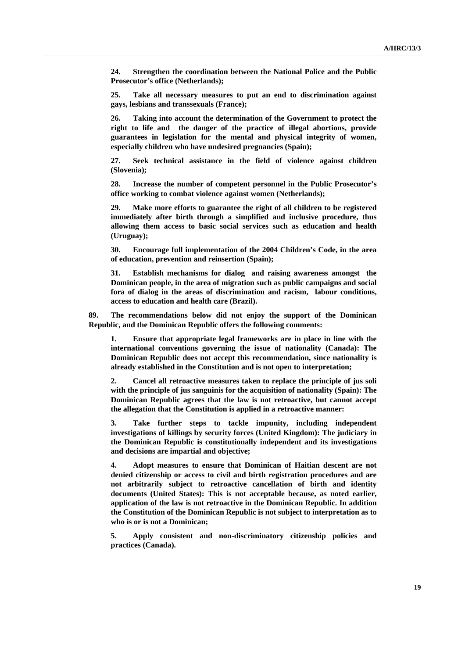**24. Strengthen the coordination between the National Police and the Public Prosecutor's office (Netherlands);** 

**25. Take all necessary measures to put an end to discrimination against gays, lesbians and transsexuals (France);** 

**26. Taking into account the determination of the Government to protect the right to life and the danger of the practice of illegal abortions, provide guarantees in legislation for the mental and physical integrity of women, especially children who have undesired pregnancies (Spain);** 

**27. Seek technical assistance in the field of violence against children (Slovenia);** 

**28. Increase the number of competent personnel in the Public Prosecutor's office working to combat violence against women (Netherlands);** 

**29. Make more efforts to guarantee the right of all children to be registered immediately after birth through a simplified and inclusive procedure, thus allowing them access to basic social services such as education and health (Uruguay);** 

**30. Encourage full implementation of the 2004 Children's Code, in the area of education, prevention and reinsertion (Spain);** 

**31. Establish mechanisms for dialog and raising awareness amongst the Dominican people, in the area of migration such as public campaigns and social fora of dialog in the areas of discrimination and racism, labour conditions, access to education and health care (Brazil).** 

**89. The recommendations below did not enjoy the support of the Dominican Republic, and the Dominican Republic offers the following comments:** 

**1. Ensure that appropriate legal frameworks are in place in line with the international conventions governing the issue of nationality (Canada): The Dominican Republic does not accept this recommendation, since nationality is already established in the Constitution and is not open to interpretation;** 

**2. Cancel all retroactive measures taken to replace the principle of jus soli with the principle of jus sanguinis for the acquisition of nationality (Spain): The Dominican Republic agrees that the law is not retroactive, but cannot accept the allegation that the Constitution is applied in a retroactive manner:** 

**3. Take further steps to tackle impunity, including independent investigations of killings by security forces (United Kingdom): The judiciary in the Dominican Republic is constitutionally independent and its investigations and decisions are impartial and objective;** 

**4. Adopt measures to ensure that Dominican of Haitian descent are not denied citizenship or access to civil and birth registration procedures and are not arbitrarily subject to retroactive cancellation of birth and identity documents (United States): This is not acceptable because, as noted earlier, application of the law is not retroactive in the Dominican Republic. In addition the Constitution of the Dominican Republic is not subject to interpretation as to who is or is not a Dominican;** 

**5. Apply consistent and non-discriminatory citizenship policies and practices (Canada).**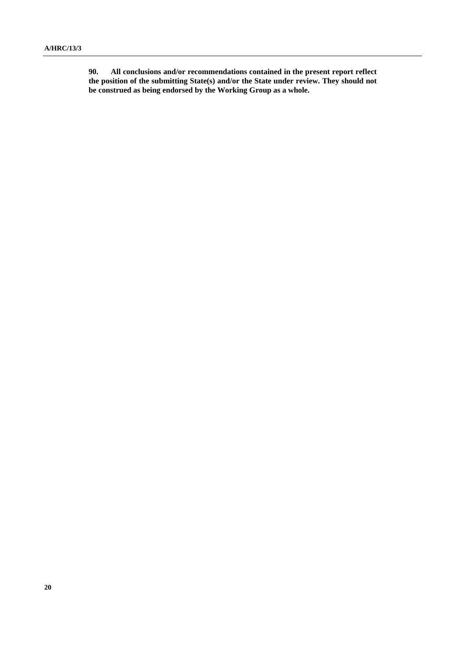**90. All conclusions and/or recommendations contained in the present report reflect the position of the submitting State(s) and/or the State under review. They should not be construed as being endorsed by the Working Group as a whole.**